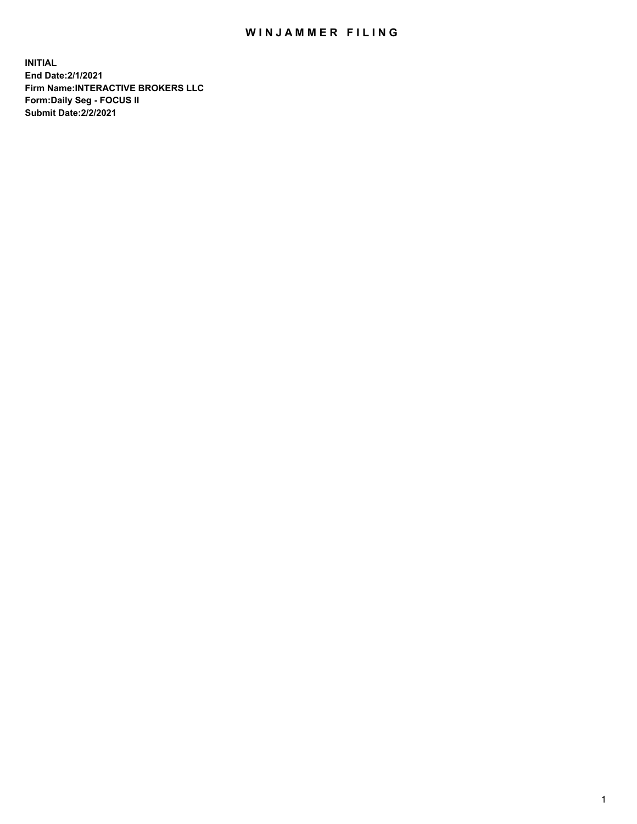## WIN JAMMER FILING

**INITIAL End Date:2/1/2021 Firm Name:INTERACTIVE BROKERS LLC Form:Daily Seg - FOCUS II Submit Date:2/2/2021**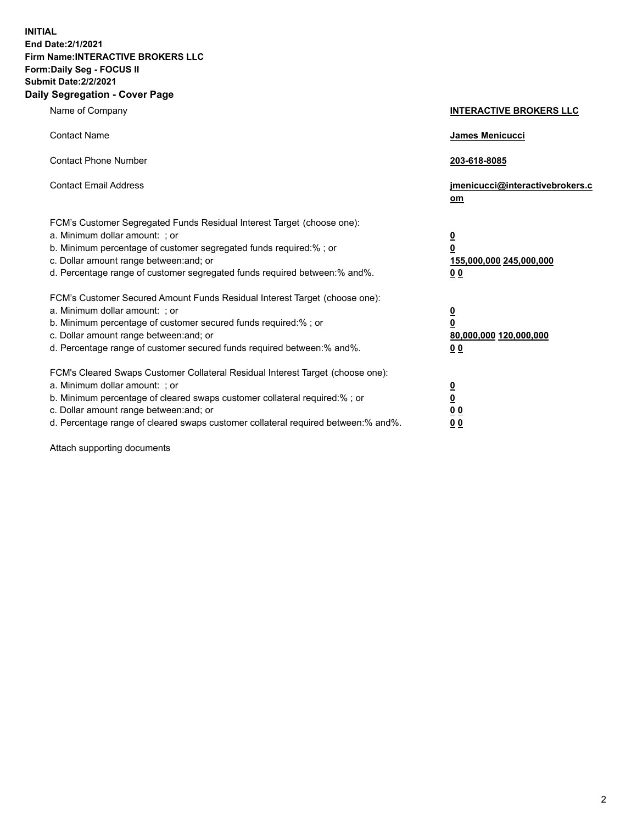**INITIAL End Date:2/1/2021 Firm Name:INTERACTIVE BROKERS LLC Form:Daily Seg - FOCUS II Submit Date:2/2/2021 Daily Segregation - Cover Page**

| Name of Company                                                                                                                                                                                                                                                                                                                | <b>INTERACTIVE BROKERS LLC</b>                                                                  |
|--------------------------------------------------------------------------------------------------------------------------------------------------------------------------------------------------------------------------------------------------------------------------------------------------------------------------------|-------------------------------------------------------------------------------------------------|
| <b>Contact Name</b>                                                                                                                                                                                                                                                                                                            | <b>James Menicucci</b>                                                                          |
| <b>Contact Phone Number</b>                                                                                                                                                                                                                                                                                                    | 203-618-8085                                                                                    |
| <b>Contact Email Address</b>                                                                                                                                                                                                                                                                                                   | jmenicucci@interactivebrokers.c<br>om                                                           |
| FCM's Customer Segregated Funds Residual Interest Target (choose one):<br>a. Minimum dollar amount: ; or<br>b. Minimum percentage of customer segregated funds required:%; or<br>c. Dollar amount range between: and; or<br>d. Percentage range of customer segregated funds required between:% and%.                          | $\overline{\mathbf{0}}$<br>$\overline{\mathbf{0}}$<br>155,000,000 245,000,000<br>0 <sub>0</sub> |
| FCM's Customer Secured Amount Funds Residual Interest Target (choose one):<br>a. Minimum dollar amount: ; or<br>b. Minimum percentage of customer secured funds required:%; or<br>c. Dollar amount range between: and; or<br>d. Percentage range of customer secured funds required between:% and%.                            | $\overline{\mathbf{0}}$<br>$\overline{\mathbf{0}}$<br>80,000,000 120,000,000<br>0 <sub>0</sub>  |
| FCM's Cleared Swaps Customer Collateral Residual Interest Target (choose one):<br>a. Minimum dollar amount: ; or<br>b. Minimum percentage of cleared swaps customer collateral required:% ; or<br>c. Dollar amount range between: and; or<br>d. Percentage range of cleared swaps customer collateral required between:% and%. | $\overline{\mathbf{0}}$<br>$\overline{\mathbf{0}}$<br>0 <sub>0</sub><br>0 <sub>0</sub>          |

Attach supporting documents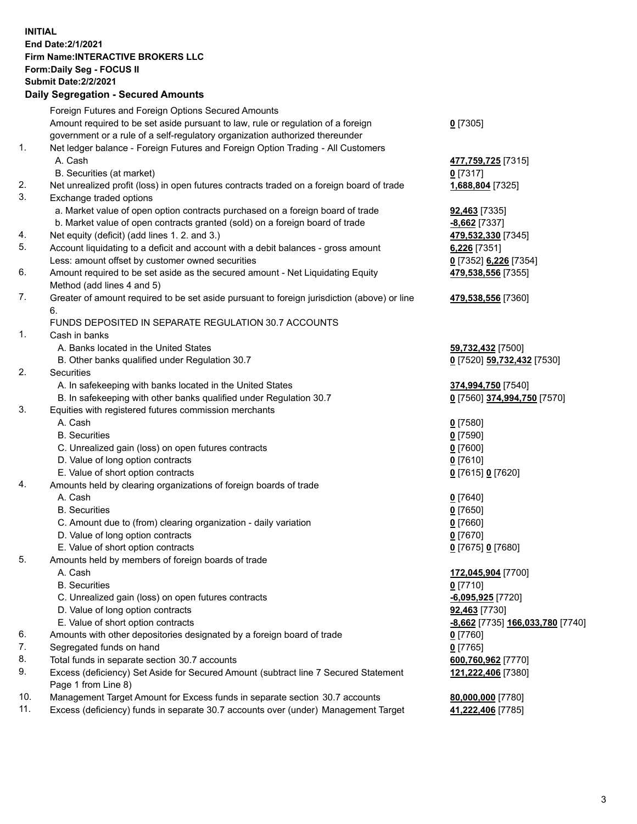## **INITIAL End Date:2/1/2021 Firm Name:INTERACTIVE BROKERS LLC Form:Daily Seg - FOCUS II Submit Date:2/2/2021 Daily Segregation - Secured Amounts**

|                | Dany Ocgregation - Occarea Anioants                                                                        |                                  |
|----------------|------------------------------------------------------------------------------------------------------------|----------------------------------|
|                | Foreign Futures and Foreign Options Secured Amounts                                                        |                                  |
|                | Amount required to be set aside pursuant to law, rule or regulation of a foreign                           | $0$ [7305]                       |
|                | government or a rule of a self-regulatory organization authorized thereunder                               |                                  |
| 1.             | Net ledger balance - Foreign Futures and Foreign Option Trading - All Customers                            |                                  |
|                | A. Cash                                                                                                    | 477,759,725 [7315]               |
|                | B. Securities (at market)                                                                                  | $0$ [7317]                       |
| 2.             | Net unrealized profit (loss) in open futures contracts traded on a foreign board of trade                  | 1,688,804 [7325]                 |
| 3.             | Exchange traded options                                                                                    |                                  |
|                | a. Market value of open option contracts purchased on a foreign board of trade                             | <b>92,463</b> [7335]             |
|                | b. Market value of open contracts granted (sold) on a foreign board of trade                               | $-8,662$ [7337]                  |
| 4.             | Net equity (deficit) (add lines 1. 2. and 3.)                                                              | 479,532,330 [7345]               |
| 5.             | Account liquidating to a deficit and account with a debit balances - gross amount                          | 6,226 [7351]                     |
|                | Less: amount offset by customer owned securities                                                           | 0 [7352] 6,226 [7354]            |
| 6.             | Amount required to be set aside as the secured amount - Net Liquidating Equity                             | 479,538,556 [7355]               |
|                | Method (add lines 4 and 5)                                                                                 |                                  |
| 7.             | Greater of amount required to be set aside pursuant to foreign jurisdiction (above) or line                | 479,538,556 [7360]               |
|                | 6.                                                                                                         |                                  |
|                | FUNDS DEPOSITED IN SEPARATE REGULATION 30.7 ACCOUNTS                                                       |                                  |
| $\mathbf{1}$ . | Cash in banks                                                                                              |                                  |
|                | A. Banks located in the United States                                                                      | 59,732,432 [7500]                |
|                | B. Other banks qualified under Regulation 30.7                                                             | 0 [7520] 59,732,432 [7530]       |
| 2.             | Securities                                                                                                 |                                  |
|                | A. In safekeeping with banks located in the United States                                                  | 374,994,750 [7540]               |
|                | B. In safekeeping with other banks qualified under Regulation 30.7                                         | 0 [7560] 374,994,750 [7570]      |
| 3.             | Equities with registered futures commission merchants                                                      |                                  |
|                | A. Cash                                                                                                    | $0$ [7580]                       |
|                | <b>B.</b> Securities                                                                                       | $0$ [7590]                       |
|                | C. Unrealized gain (loss) on open futures contracts                                                        | $0$ [7600]                       |
|                | D. Value of long option contracts                                                                          | $0$ [7610]                       |
|                | E. Value of short option contracts                                                                         | 0 [7615] 0 [7620]                |
| 4.             | Amounts held by clearing organizations of foreign boards of trade                                          |                                  |
|                | A. Cash                                                                                                    | $0$ [7640]                       |
|                | <b>B.</b> Securities                                                                                       | $0$ [7650]                       |
|                | C. Amount due to (from) clearing organization - daily variation                                            | $0$ [7660]                       |
|                | D. Value of long option contracts                                                                          | $0$ [7670]                       |
|                | E. Value of short option contracts                                                                         | 0 [7675] 0 [7680]                |
| 5.             | Amounts held by members of foreign boards of trade                                                         |                                  |
|                | A. Cash                                                                                                    | 172,045,904 [7700]               |
|                | <b>B.</b> Securities                                                                                       | $0$ [7710]                       |
|                | C. Unrealized gain (loss) on open futures contracts                                                        | $-6,095,925$ [7720]              |
|                | D. Value of long option contracts                                                                          | 92,463 [7730]                    |
|                | E. Value of short option contracts                                                                         | -8,662 [7735] 166,033,780 [7740] |
| 6.             | Amounts with other depositories designated by a foreign board of trade                                     | 0 [7760]                         |
| 7.             | Segregated funds on hand                                                                                   | $0$ [7765]                       |
| 8.             | Total funds in separate section 30.7 accounts                                                              | 600,760,962 [7770]               |
| 9.             | Excess (deficiency) Set Aside for Secured Amount (subtract line 7 Secured Statement<br>Page 1 from Line 8) | 121,222,406 [7380]               |
| 10.            | Management Target Amount for Excess funds in separate section 30.7 accounts                                | 80,000,000 [7780]                |
| 11.            | Excess (deficiency) funds in separate 30.7 accounts over (under) Management Target                         | 41,222,406 [7785]                |
|                |                                                                                                            |                                  |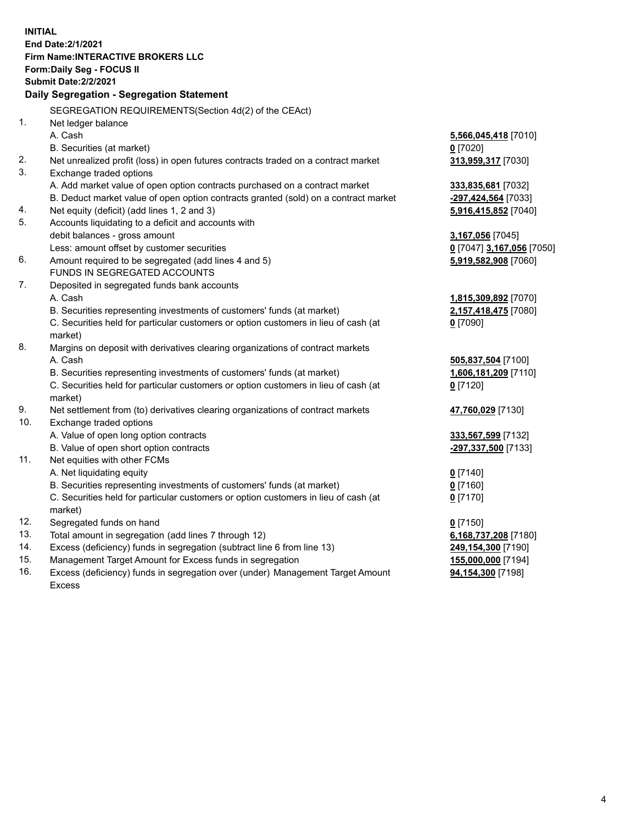**INITIAL End Date:2/1/2021 Firm Name:INTERACTIVE BROKERS LLC Form:Daily Seg - FOCUS II Submit Date:2/2/2021 Daily Segregation - Segregation Statement** SEGREGATION REQUIREMENTS(Section 4d(2) of the CEAct) 1. Net ledger balance A. Cash **5,566,045,418** [7010] B. Securities (at market) **0** [7020] 2. Net unrealized profit (loss) in open futures contracts traded on a contract market **313,959,317** [7030] 3. Exchange traded options A. Add market value of open option contracts purchased on a contract market **333,835,681** [7032] B. Deduct market value of open option contracts granted (sold) on a contract market **-297,424,564** [7033] 4. Net equity (deficit) (add lines 1, 2 and 3) **5,916,415,852** [7040] 5. Accounts liquidating to a deficit and accounts with debit balances - gross amount **3,167,056** [7045] Less: amount offset by customer securities **0** [7047] **3,167,056** [7050] 6. Amount required to be segregated (add lines 4 and 5) **5,919,582,908** [7060] FUNDS IN SEGREGATED ACCOUNTS 7. Deposited in segregated funds bank accounts A. Cash **1,815,309,892** [7070] B. Securities representing investments of customers' funds (at market) **2,157,418,475** [7080] C. Securities held for particular customers or option customers in lieu of cash (at market) **0** [7090] 8. Margins on deposit with derivatives clearing organizations of contract markets A. Cash **505,837,504** [7100] B. Securities representing investments of customers' funds (at market) **1,606,181,209** [7110] C. Securities held for particular customers or option customers in lieu of cash (at market) **0** [7120] 9. Net settlement from (to) derivatives clearing organizations of contract markets **47,760,029** [7130] 10. Exchange traded options A. Value of open long option contracts **333,567,599** [7132] B. Value of open short option contracts **-297,337,500** [7133] 11. Net equities with other FCMs A. Net liquidating equity **0** [7140] B. Securities representing investments of customers' funds (at market) **0** [7160] C. Securities held for particular customers or option customers in lieu of cash (at market) **0** [7170] 12. Segregated funds on hand **0** [7150] 13. Total amount in segregation (add lines 7 through 12) **6,168,737,208** [7180] 14. Excess (deficiency) funds in segregation (subtract line 6 from line 13) **249,154,300** [7190] 15. Management Target Amount for Excess funds in segregation **155,000,000** [7194] 16. Excess (deficiency) funds in segregation over (under) Management Target Amount **94,154,300** [7198]

Excess